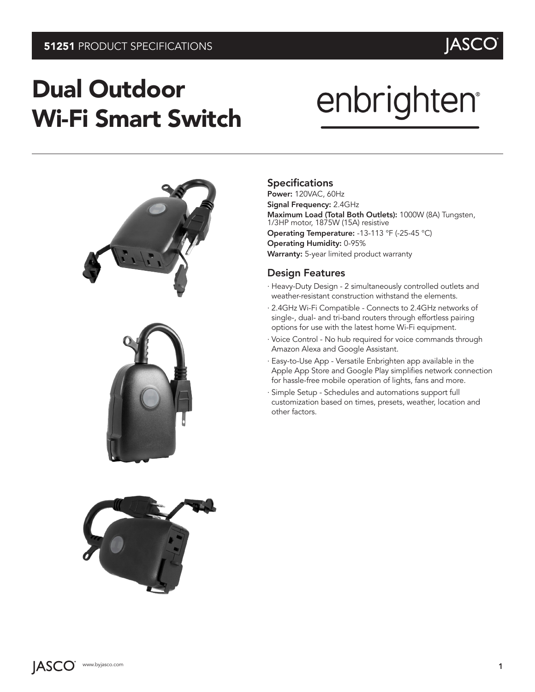## Dual Outdoor Wi-Fi Smart Switch

# enbrighten®



#### Specifications

Power: 120VAC, 60Hz Signal Frequency: 2.4GHz Maximum Load (Total Both Outlets): 1000W (8A) Tungsten, 1/3HP motor, 1875W (15A) resistive Operating Temperature: -13-113 °F (-25-45 °C) Operating Humidity: 0-95% Warranty: 5-year limited product warranty

#### Design Features

- · Heavy-Duty Design 2 simultaneously controlled outlets and weather-resistant construction withstand the elements.
- · 2.4GHz Wi-Fi Compatible Connects to 2.4GHz networks of single-, dual- and tri-band routers through effortless pairing options for use with the latest home Wi-Fi equipment.
- · Voice Control No hub required for voice commands through Amazon Alexa and Google Assistant.
- · Easy-to-Use App Versatile Enbrighten app available in the Apple App Store and Google Play simplifies network connection for hassle-free mobile operation of lights, fans and more.
- · Simple Setup Schedules and automations support full customization based on times, presets, weather, location and other factors.